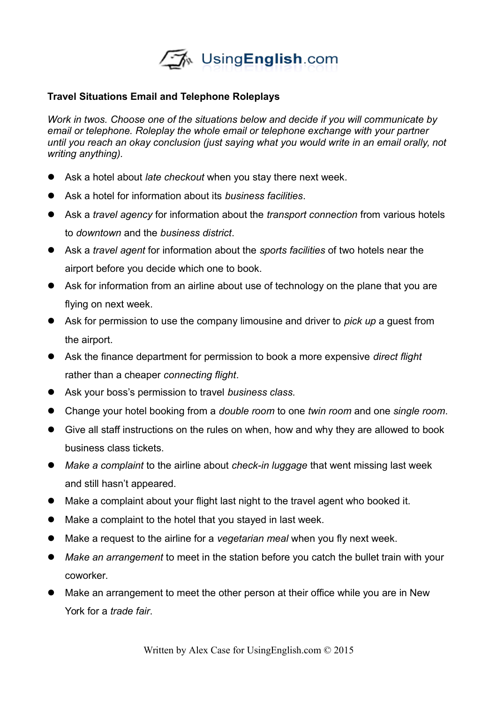

## **Travel Situations Email and Telephone Roleplays**

*Work in twos. Choose one of the situations below and decide if you will communicate by email or telephone. Roleplay the whole email or telephone exchange with your partner until you reach an okay conclusion (just saying what you would write in an email orally, not writing anything).* 

- Ask a hotel about *late checkout* when you stay there next week.
- Ask a hotel for information about its *business facilities*.
- Ask a *travel agency* for information about the *transport connection* from various hotels to *downtown* and the *business district*.
- Ask a *travel agent* for information about the *sports facilities* of two hotels near the airport before you decide which one to book.
- Ask for information from an airline about use of technology on the plane that you are flying on next week.
- Ask for permission to use the company limousine and driver to *pick up* a guest from the airport.
- Ask the finance department for permission to book a more expensive *direct flight* rather than a cheaper *connecting flight*.
- Ask your boss's permission to travel *business class.*
- Change your hotel booking from a *double room* to one *twin room* and one *single room*.
- Give all staff instructions on the rules on when, how and why they are allowed to book business class tickets.
- *Make a complaint* to the airline about *check-in luggage* that went missing last week and still hasn't appeared.
- Make a complaint about your flight last night to the travel agent who booked it.
- Make a complaint to the hotel that you stayed in last week.
- Make a request to the airline for a *vegetarian meal* when you fly next week.
- *Make an arrangement* to meet in the station before you catch the bullet train with your coworker.
- Make an arrangement to meet the other person at their office while you are in New York for a *trade fair*.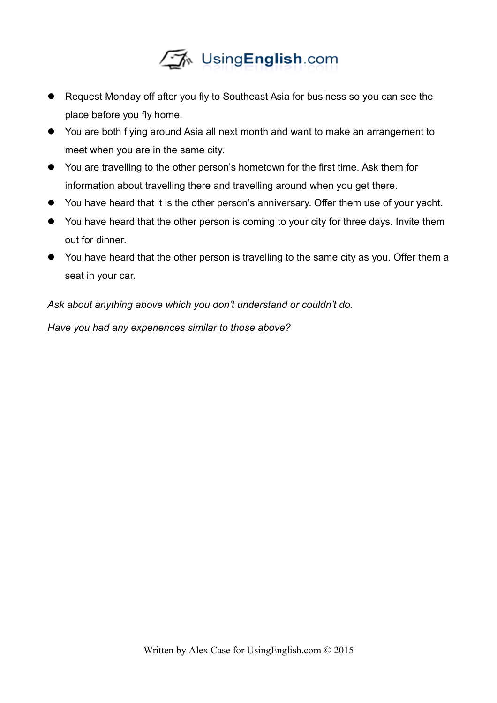

- Request Monday off after you fly to Southeast Asia for business so you can see the place before you fly home.
- You are both flying around Asia all next month and want to make an arrangement to meet when you are in the same city.
- You are travelling to the other person's hometown for the first time. Ask them for information about travelling there and travelling around when you get there.
- You have heard that it is the other person's anniversary. Offer them use of your yacht.
- You have heard that the other person is coming to your city for three days. Invite them out for dinner.
- You have heard that the other person is travelling to the same city as you. Offer them a seat in your car.

*Ask about anything above which you don't understand or couldn't do.* 

*Have you had any experiences similar to those above?*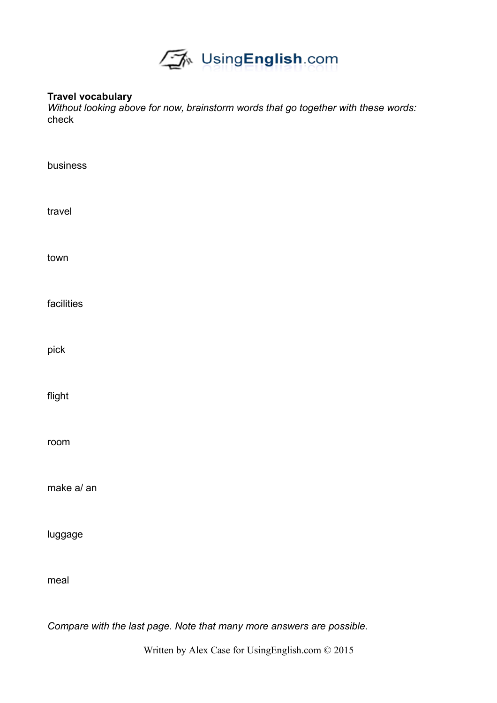

## **Travel vocabulary**

*Without looking above for now, brainstorm words that go together with these words:* check

| business                                                              |
|-----------------------------------------------------------------------|
| travel                                                                |
| town                                                                  |
| facilities                                                            |
| pick                                                                  |
| flight                                                                |
| room                                                                  |
| make a/ an                                                            |
| luggage                                                               |
| meal                                                                  |
| Compare with the last page. Note that many more answers are possible. |

Written by Alex Case for UsingEnglish.com © 2015